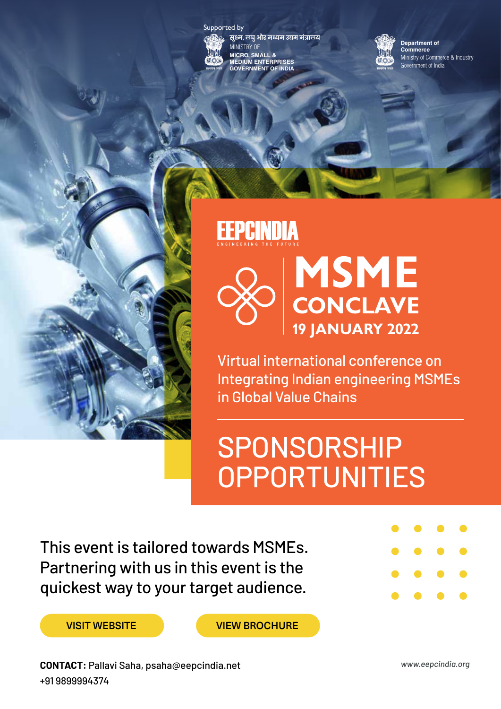



**सूक्ष्म, लघु और मध्यम उद्यम मंत्रालय IINISTRY OF MICRO, SMALL & MEDIUM ENTERPRISES GOVERNMENT OF INDIA**

Ministry of Commerce & Industry **Department of Commerce** Government of India

### **EEPCINDIA**



Virtual international conference on Integrating Indian engineering MSMEs in Global Value Chains

# SPONSORSHIP **OPPORTUNITIES**

This event is tailored towards MSMEs. Partnering with us in this event is the quickest way to your target audience.



VISIT WEBSITE VIEW BROCHURE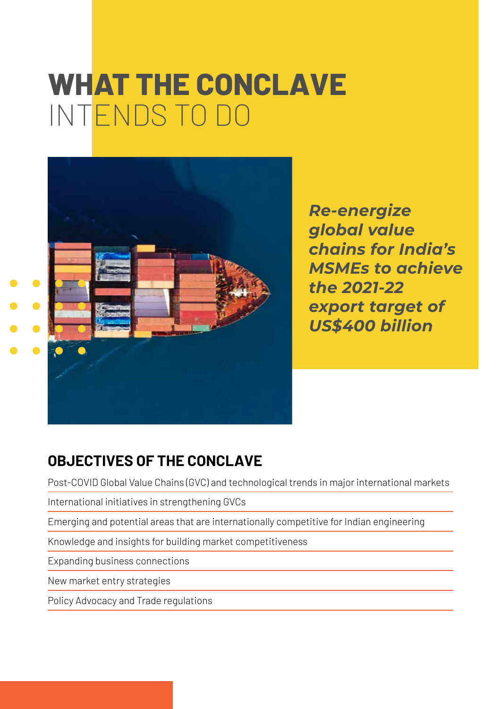# **WHAT THE CONCLAVE** INTENDS TO DO



*Re-energize global value chains for India's MSMEs to achieve the 2021-22 export target of US\$400 billion*

### **OBJECTIVES OF THE CONCLAVE**

Post-COVID Global Value Chains (GVC) and technological trends in major international markets

International initiatives in strengthening GVCs

Emerging and potential areas that are internationally competitive for Indian engineering

Knowledge and insights for building market competitiveness

Expanding business connections

New market entry strategies

Policy Advocacy and Trade regulations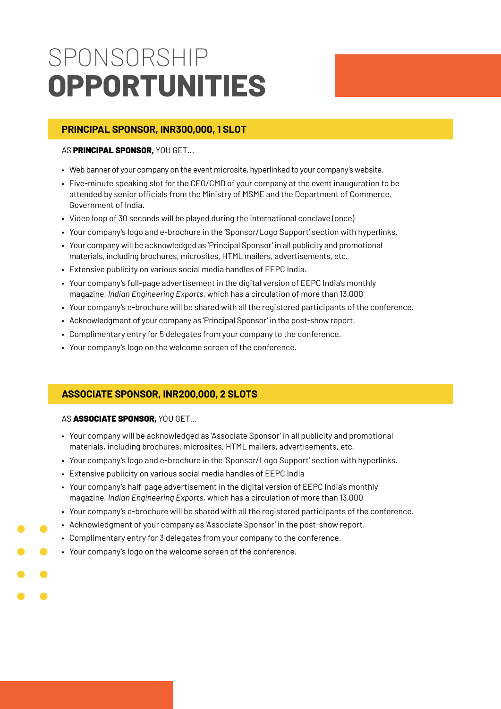# SPONSORSHIP **OPPORTUNITIES**

#### **PRINCIPAL SPONSOR, INR300,000, 1 SLOT**

#### AS PRINCIPAL SPONSOR, YOU GET...

- Web banner of your company on the event microsite, hyperlinked to your company's website.
- Five-minute speaking slot for the CEO/CMD of your company at the event inauguration to be attended by senior officials from the Ministry of MSME and the Department of Commerce, Government of India.
- Video loop of 30 seconds will be played during the international conclave (once)
- Your company's logo and e-brochure in the 'Sponsor/Logo Support' section with hyperlinks.
- Your company will be acknowledged as 'Principal Sponsor' in all publicity and promotional materials, including brochures, microsites, HTML mailers, advertisements, etc.
- Extensive publicity on various social media handles of EEPC India.
- Your company's full-page advertisement in the digital version of EEPC India's monthly magazine, *Indian Engineering Exports,* which has a circulation of more than 13,000
- Your company's e-brochure will be shared with all the registered participants of the conference.
- Acknowledgment of your company as 'Principal Sponsor' in the post-show report.
- Complimentary entry for 5 delegates from your company to the conference.
- Your company's logo on the welcome screen of the conference.

### **ASSOCIATE SPONSOR, INR200,000, 2 SLOTS**

#### AS ASSOCIATE SPONSOR, YOU GET...

- Your company will be acknowledged as 'Associate Sponsor' in all publicity and promotional materials, including brochures, microsites, HTML mailers, advertisements, etc.
- Your company's logo and e-brochure in the 'Sponsor/Logo Support' section with hyperlinks.
- Extensive publicity on various social media handles of EEPC India
- Your company's half-page advertisement in the digital version of EEPC India's monthly magazine, *Indian Engineering Exports,* which has a circulation of more than 13,000
- Your company's e-brochure will be shared with all the registered participants of the conference.
- Acknowledgment of your company as 'Associate Sponsor' in the post-show report.
- Complimentary entry for 3 delegates from your company to the conference.
- Your company's logo on the welcome screen of the conference.